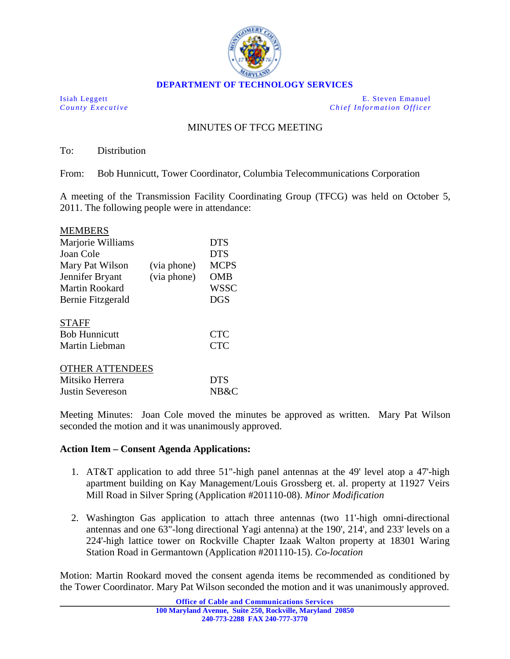

Isiah Leggett E. Steven Emanuel *County Executive Chief Information Officer*

## MINUTES OF TFCG MEETING

To: Distribution

From: Bob Hunnicutt, Tower Coordinator, Columbia Telecommunications Corporation

A meeting of the Transmission Facility Coordinating Group (TFCG) was held on October 5, 2011. The following people were in attendance:

| <b>MEMBERS</b>         |             |             |
|------------------------|-------------|-------------|
| Marjorie Williams      |             | <b>DTS</b>  |
| Joan Cole              |             | <b>DTS</b>  |
| Mary Pat Wilson        | (via phone) | <b>MCPS</b> |
| Jennifer Bryant        | (via phone) | <b>OMB</b>  |
| Martin Rookard         |             | <b>WSSC</b> |
| Bernie Fitzgerald      |             | <b>DGS</b>  |
| <b>STAFF</b>           |             |             |
| <b>Bob Hunnicutt</b>   |             | <b>CTC</b>  |
| Martin Liebman         |             | <b>CTC</b>  |
| <b>OTHER ATTENDEES</b> |             |             |
| Mitsiko Herrera        |             | <b>DTS</b>  |
| Justin Severeson       |             | NB&C        |

Meeting Minutes: Joan Cole moved the minutes be approved as written. Mary Pat Wilson seconded the motion and it was unanimously approved.

## **Action Item – Consent Agenda Applications:**

- 1. AT&T application to add three 51"-high panel antennas at the 49' level atop a 47'-high apartment building on Kay Management/Louis Grossberg et. al. property at 11927 Veirs Mill Road in Silver Spring (Application #201110-08). *Minor Modification*
- 2. Washington Gas application to attach three antennas (two 11'-high omni-directional antennas and one 63"-long directional Yagi antenna) at the 190', 214', and 233' levels on a 224'-high lattice tower on Rockville Chapter Izaak Walton property at 18301 Waring Station Road in Germantown (Application #201110-15). *Co-location*

Motion: Martin Rookard moved the consent agenda items be recommended as conditioned by the Tower Coordinator. Mary Pat Wilson seconded the motion and it was unanimously approved.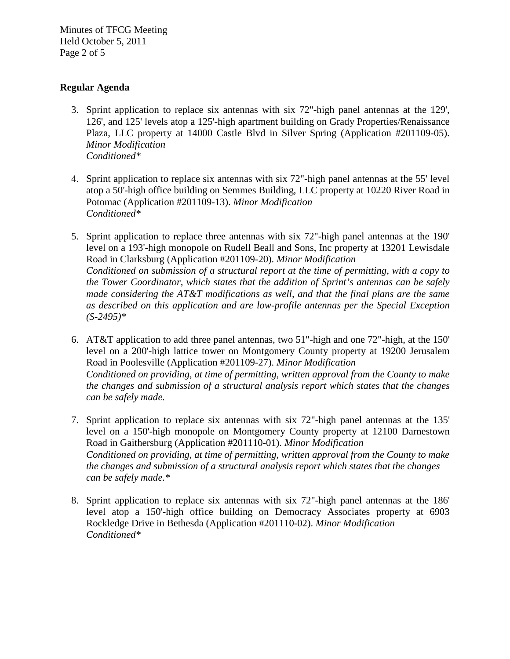Minutes of TFCG Meeting Held October 5, 2011 Page 2 of 5

## **Regular Agenda**

- 3. Sprint application to replace six antennas with six 72"-high panel antennas at the 129', 126', and 125' levels atop a 125'-high apartment building on Grady Properties/Renaissance Plaza, LLC property at 14000 Castle Blvd in Silver Spring (Application #201109-05). *Minor Modification Conditioned\**
- 4. Sprint application to replace six antennas with six 72"-high panel antennas at the 55' level atop a 50'-high office building on Semmes Building, LLC property at 10220 River Road in Potomac (Application #201109-13). *Minor Modification Conditioned\**
- 5. Sprint application to replace three antennas with six 72"-high panel antennas at the 190' level on a 193'-high monopole on Rudell Beall and Sons, Inc property at 13201 Lewisdale Road in Clarksburg (Application #201109-20). *Minor Modification Conditioned on submission of a structural report at the time of permitting, with a copy to the Tower Coordinator, which states that the addition of Sprint's antennas can be safely made considering the AT&T modifications as well, and that the final plans are the same as described on this application and are low-profile antennas per the Special Exception (S-2495)\**
- 6. AT&T application to add three panel antennas, two 51"-high and one 72"-high, at the 150' level on a 200'-high lattice tower on Montgomery County property at 19200 Jerusalem Road in Poolesville (Application #201109-27). *Minor Modification Conditioned on providing, at time of permitting, written approval from the County to make the changes and submission of a structural analysis report which states that the changes can be safely made.*
- 7. Sprint application to replace six antennas with six 72"-high panel antennas at the 135' level on a 150'-high monopole on Montgomery County property at 12100 Darnestown Road in Gaithersburg (Application #201110-01). *Minor Modification Conditioned on providing, at time of permitting, written approval from the County to make the changes and submission of a structural analysis report which states that the changes can be safely made.\**
- 8. Sprint application to replace six antennas with six 72"-high panel antennas at the 186' level atop a 150'-high office building on Democracy Associates property at 6903 Rockledge Drive in Bethesda (Application #201110-02). *Minor Modification Conditioned\**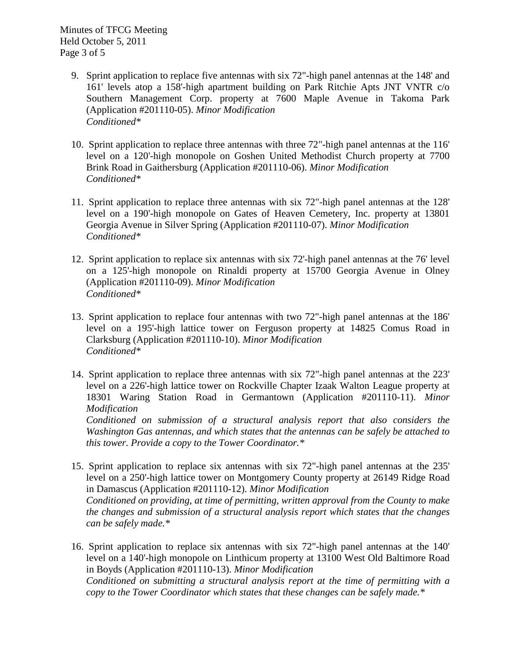Minutes of TFCG Meeting Held October 5, 2011 Page 3 of 5

- 9. Sprint application to replace five antennas with six 72"-high panel antennas at the 148' and 161' levels atop a 158'-high apartment building on Park Ritchie Apts JNT VNTR c/o Southern Management Corp. property at 7600 Maple Avenue in Takoma Park (Application #201110-05). *Minor Modification Conditioned\**
- 10. Sprint application to replace three antennas with three 72"-high panel antennas at the 116' level on a 120'-high monopole on Goshen United Methodist Church property at 7700 Brink Road in Gaithersburg (Application #201110-06). *Minor Modification Conditioned\**
- 11. Sprint application to replace three antennas with six 72"-high panel antennas at the 128' level on a 190'-high monopole on Gates of Heaven Cemetery, Inc. property at 13801 Georgia Avenue in Silver Spring (Application #201110-07). *Minor Modification Conditioned\**
- 12. Sprint application to replace six antennas with six 72'-high panel antennas at the 76' level on a 125'-high monopole on Rinaldi property at 15700 Georgia Avenue in Olney (Application #201110-09). *Minor Modification Conditioned\**
- 13. Sprint application to replace four antennas with two 72"-high panel antennas at the 186' level on a 195'-high lattice tower on Ferguson property at 14825 Comus Road in Clarksburg (Application #201110-10). *Minor Modification Conditioned\**
- 14. Sprint application to replace three antennas with six 72"-high panel antennas at the 223' level on a 226'-high lattice tower on Rockville Chapter Izaak Walton League property at 18301 Waring Station Road in Germantown (Application #201110-11). *Minor Modification*

*Conditioned on submission of a structural analysis report that also considers the Washington Gas antennas, and which states that the antennas can be safely be attached to this tower. Provide a copy to the Tower Coordinator.\**

- 15. Sprint application to replace six antennas with six 72"-high panel antennas at the 235' level on a 250'-high lattice tower on Montgomery County property at 26149 Ridge Road in Damascus (Application #201110-12). *Minor Modification Conditioned on providing, at time of permitting, written approval from the County to make the changes and submission of a structural analysis report which states that the changes can be safely made.\**
- 16. Sprint application to replace six antennas with six 72"-high panel antennas at the 140' level on a 140'-high monopole on Linthicum property at 13100 West Old Baltimore Road in Boyds (Application #201110-13). *Minor Modification Conditioned on submitting a structural analysis report at the time of permitting with a copy to the Tower Coordinator which states that these changes can be safely made.\**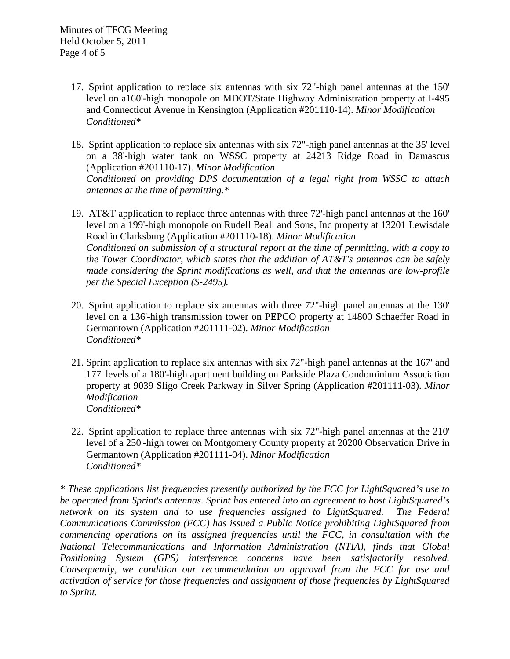- 17. Sprint application to replace six antennas with six 72"-high panel antennas at the 150' level on a160'-high monopole on MDOT/State Highway Administration property at I-495 and Connecticut Avenue in Kensington (Application #201110-14). *Minor Modification Conditioned\**
- 18. Sprint application to replace six antennas with six 72"-high panel antennas at the 35' level on a 38'-high water tank on WSSC property at 24213 Ridge Road in Damascus (Application #201110-17). *Minor Modification Conditioned on providing DPS documentation of a legal right from WSSC to attach antennas at the time of permitting.\**
- 19. AT&T application to replace three antennas with three 72'-high panel antennas at the 160' level on a 199'-high monopole on Rudell Beall and Sons, Inc property at 13201 Lewisdale Road in Clarksburg (Application #201110-18). *Minor Modification Conditioned on submission of a structural report at the time of permitting, with a copy to the Tower Coordinator, which states that the addition of AT&T's antennas can be safely made considering the Sprint modifications as well, and that the antennas are low-profile per the Special Exception (S-2495).*
- 20. Sprint application to replace six antennas with three 72"-high panel antennas at the 130' level on a 136'-high transmission tower on PEPCO property at 14800 Schaeffer Road in Germantown (Application #201111-02). *Minor Modification Conditioned\**
- 21. Sprint application to replace six antennas with six 72"-high panel antennas at the 167' and 177' levels of a 180'-high apartment building on Parkside Plaza Condominium Association property at 9039 Sligo Creek Parkway in Silver Spring (Application #201111-03). *Minor Modification Conditioned\**
- 22. Sprint application to replace three antennas with six 72"-high panel antennas at the 210' level of a 250'-high tower on Montgomery County property at 20200 Observation Drive in Germantown (Application #201111-04). *Minor Modification Conditioned\**

*\* These applications list frequencies presently authorized by the FCC for LightSquared's use to be operated from Sprint's antennas. Sprint has entered into an agreement to host LightSquared's*  network on its system and to use frequencies assigned to LightSquared. The Federal *Communications Commission (FCC) has issued a Public Notice prohibiting LightSquared from commencing operations on its assigned frequencies until the FCC, in consultation with the National Telecommunications and Information Administration (NTIA), finds that Global Positioning System (GPS) interference concerns have been satisfactorily resolved. Consequently, we condition our recommendation on approval from the FCC for use and activation of service for those frequencies and assignment of those frequencies by LightSquared to Sprint.*